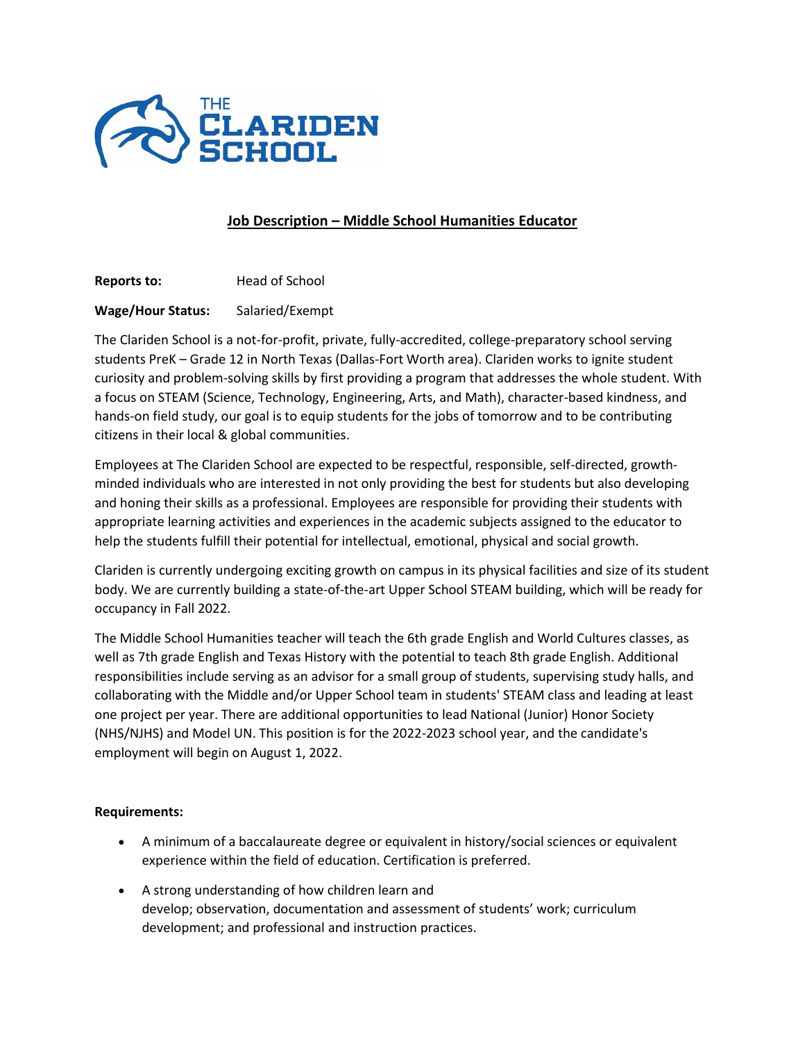

## **Job Description – Middle School Humanities Educator**

**Reports to:** Head of School

## **Wage/Hour Status:** Salaried/Exempt

The Clariden School is a not-for-profit, private, fully-accredited, college-preparatory school serving students PreK – Grade 12 in North Texas (Dallas-Fort Worth area). Clariden works to ignite student curiosity and problem-solving skills by first providing a program that addresses the whole student. With a focus on STEAM (Science, Technology, Engineering, Arts, and Math), character-based kindness, and hands-on field study, our goal is to equip students for the jobs of tomorrow and to be contributing citizens in their local & global communities.

Employees at The Clariden School are expected to be respectful, responsible, self-directed, growthminded individuals who are interested in not only providing the best for students but also developing and honing their skills as a professional. Employees are responsible for providing their students with appropriate learning activities and experiences in the academic subjects assigned to the educator to help the students fulfill their potential for intellectual, emotional, physical and social growth.

Clariden is currently undergoing exciting growth on campus in its physical facilities and size of its student body. We are currently building a state-of-the-art Upper School STEAM building, which will be ready for occupancy in Fall 2022.

The Middle School Humanities teacher will teach the 6th grade English and World Cultures classes, as well as 7th grade English and Texas History with the potential to teach 8th grade English. Additional responsibilities include serving as an advisor for a small group of students, supervising study halls, and collaborating with the Middle and/or Upper School team in students' STEAM class and leading at least one project per year. There are additional opportunities to lead National (Junior) Honor Society (NHS/NJHS) and Model UN. This position is for the 2022-2023 school year, and the candidate's employment will begin on August 1, 2022.

## **Requirements:**

- A minimum of a baccalaureate degree or equivalent in history/social sciences or equivalent experience within the field of education. Certification is preferred.
- A strong understanding of how children learn and develop; observation, documentation and assessment of students' work; curriculum development; and professional and instruction practices.